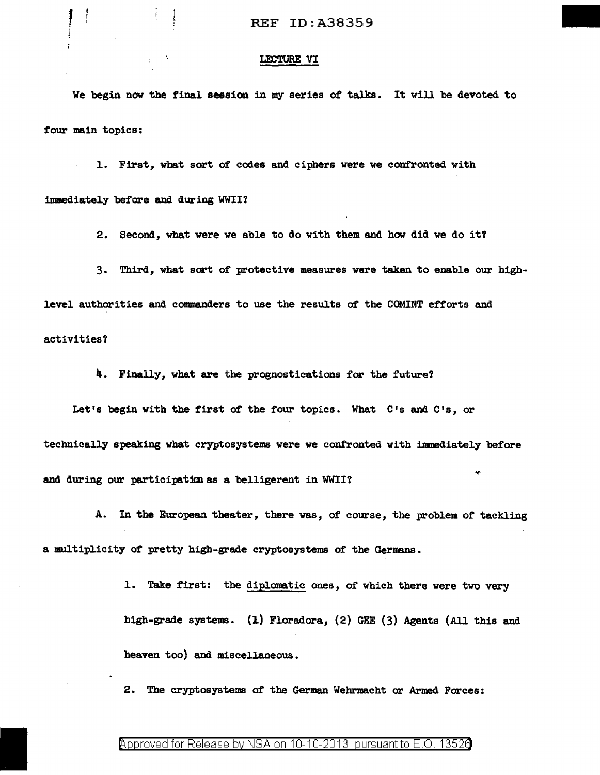### LECTURE VI

We begin now the final session in my series of talks. It will be devoted to four main topics:

1. First, wbat sort of' codes and ciphers were we confronted with immediately before and during WWII?

2. Second, what were we able to do with them and how did we do it'l

3. Third, what sort of' protective measures were taken to enable our highlevel authorities and commanders to use the results of' the COMINT efforts and

activities?

4. Finally, what are the prognostications for the future?

Let's begin with the first of the four topics. What C's and C's, or technically speaking what cryptosystems were we confronted with immediately before and during our participation as a belligerent in WWII?

A. In the European theater, there was, of course, the problem of tackling a multiplicity of pretty high-grade cryptosystems of tbe Germans.

> 1. Take first: the diplomatic ones, of which there were two very high-grade systems. (l.) Floradora, (2) GEE (3) Agents (All this and heaven too) and miscellaneous.

2. The cryptosystems of the German Webrmacht or Armed Forces: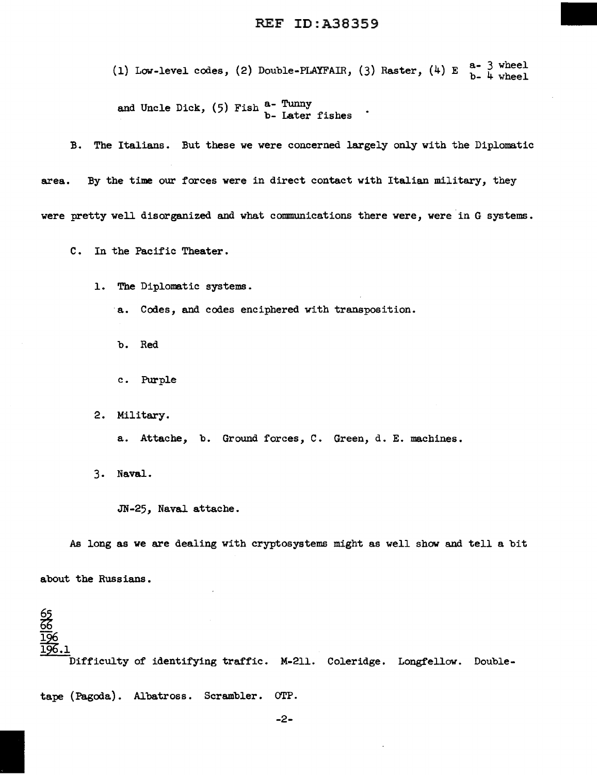(1) Low-level codes, (2) Double-PLAYFAIR, (3) Raster,  $(4)$  E  $_{b-}^{a-}$  3 wheel and Uncle Dick,  $(5)$  Fish  $a$ - Tunny<br> $b$ - Later fishes

B. The Italians. But these we were concerned largely only with the Diplomatic

area. By the time our forces were in direct contact with Italian military, they

were pretty well disorganized and what communications there were, were in G systems.

C. In the Pacific Theater.

1. The Diplomatic systems.

·a. Codes, and codes enciphered with transposition.

b. Red

c. Purple

2. Military.

a. Attache, b. Ground forces, C. Green, d. E. machines.

3. Naval.

JN-25, Naval attache.

As long as we are dealing with cryptosystems might as well show and tell a bit

about the Russians.

<u>ද</u>ෙ Difficulty of identifying traffic. M-211. Coleridge. Longfellow. Double-

tape (Pagoda). Albatross. Scrambler. OTP.

-2-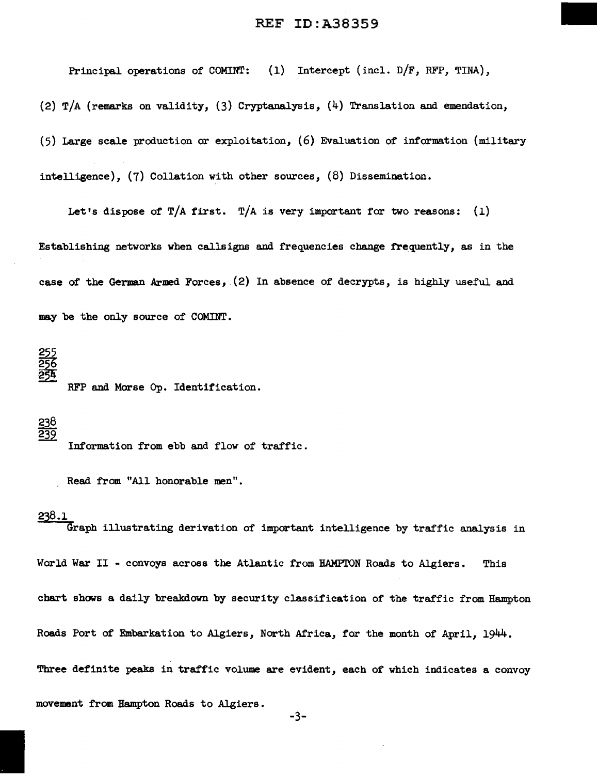Principal operations of COMINT: (1) Intercept (incl. D/F, RFP, TINA),

(2) T/A (remarks on validity, (3) Cryptanalysis, (4) Translation and emendation,

(5) Large scale production or exploitation, (6) Evaluation of information (military intelligence), (7) Collation with other sources, (8) Dissemination.

Let's dispose of T/A first. T/A is very important for two reasons: (1) Establishing networks when callsigns and frequencies change frequently, as in the case of the German Armed Forces, (2) In absence of decrypts, is highly useful and may be the only source of COMINT.

RFP and Morse Op. Identification.

 $\frac{238}{239}$ Information from ebb and flow of traffic.

Read from "All honorable men".

# 238.1

Graph illustrating derivation of important intelligence by traffic analysis in World War II - convoys across the Atlantic from HAMPTON Roads to Algiers. This chart shows a daily breakdown by security classification of the traffic from Hampton Roads Port of Embarkation to Algiers, North Africa, for the month of April, 1944. Three definite peaks in traffic volume are evident, each of which indicates a convoy movement from Hampton Roads to Algiers.

-3-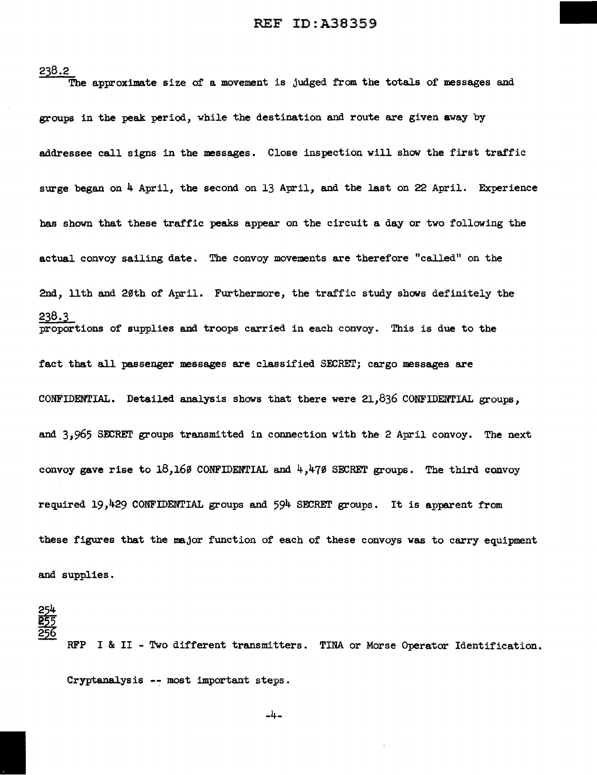238.2 The approximate size of a movement is judged from the totals of messages and groups in the peak period, while the destination and route are given away by addressee call signs in the messages. Close inspection will show the first traffic surge began on 4 April, the second on 13 April, and the last on 22 April. Experience has shown that these traffic peaks appear on the circuit a day or two following the actual convoy sailing date. The convoy movements are therefore "called" on the 2nd, lith and 20th of April. Furthermore, the traffic study shows definitely the 238.3 proportions of supplies and troops carried in each convoy. This is due to the fact that all passenger messages are classified SECRET; cargo messages are CONFIDENTIAL. Detailed analysis shows that there were 21,836 CONFIDENTIAL groups, and  $3,965$  SECRET groups transmitted in connection with the 2 April convoy. The next convoy gave rise to 18,160 CONFIDENTIAL and  $4,470$  SECRET groups. The third convoy required 19 ,429 CONFIDENTIAL groups and 594 SECRET groups. It is apparent from these figures that the major function of each of these convoys was to carry equipment and supplies.

RFP I & II - Two different transmitters. TINA or Morse Operator Identification. Cryptanalysis -- most important steps.

-4-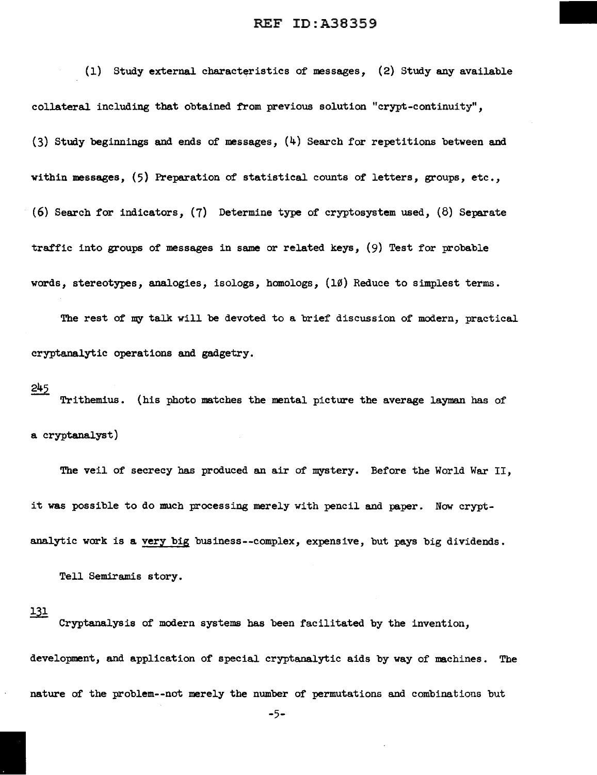$(1)$  Study external characteristics of messages,  $(2)$  Study any available collateral including that obtained from previous solution "crypt-continuity", (3) Study beginnings and ends of messages, (4) Search for repetitions between and within messages, (5) Preparation of statistical counts of letters, groups, etc., (6) Search for indicators, (7) Determine type of cryptosystem used, (8) Separate traffic into groups of messages in same or related keys, (9) Test for probable words, stereotypes, analogies, isologs, homologs, (10) Reduce to simplest terms.

The rest of my talk will be devoted to a brief discussion of modern, practical cryptanalytic operations and gadgetry.

#### 245

Trithemius. (his photo matches the mental picture the average layman has of a cryptanalyst)

The veil of secrecy has produced an air of mystery. Before the World War II, it was possible to do much processing merely with pencil and paper. Now cryptanalytic work is a very big business--complex, expensive, but pays big dividends.

Tell Semiramis story.

#### 131

Cryptanalysis of modern systems has been facilitated by the invention, development, and application of special cryptanalytic aids by way of machines. The nature of the problem--not merely the number of permutations and combinations but

-5-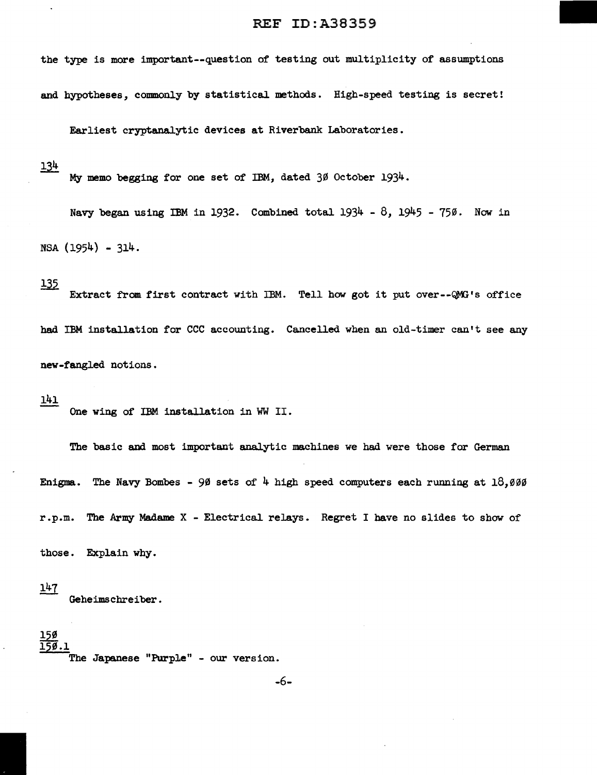the type is more important--question of testing out multiplicity of assumptions and hypotheses, commonly by statistical methods. High-speed testing is secret!

Earliest cryptanalytic devices at Riverbank Laboratories.

134

My memo begging for one set of IBM, dated 30 October 1934.

Navy began using IBM in 1932. Combined total  $1934 - 8$ ,  $1945 - 750$ . Now in NSA (1954) - 314.

# <u> 135</u>

Extract from first contract with IBM. Tell how got it put over--QMG's office had IBM installation for CCC accounting. Cancelled when an old-timer can't see any new-fangled notions.

#### 141

One wing of IBM installation in WW II.

The basic and most important analytic machines we had were those for German Enigma. The Navy Bombes - 90 sets of 4 high speed computers each running at  $18,000$ r.p.m. The Army Madame X - Electrical relays. Regret I have no slides to show of

those. Explain why.

 $147$ Geheimschreiber.

<u>15ø</u> 150.1

The Japanese "Purple" - our version.

-6-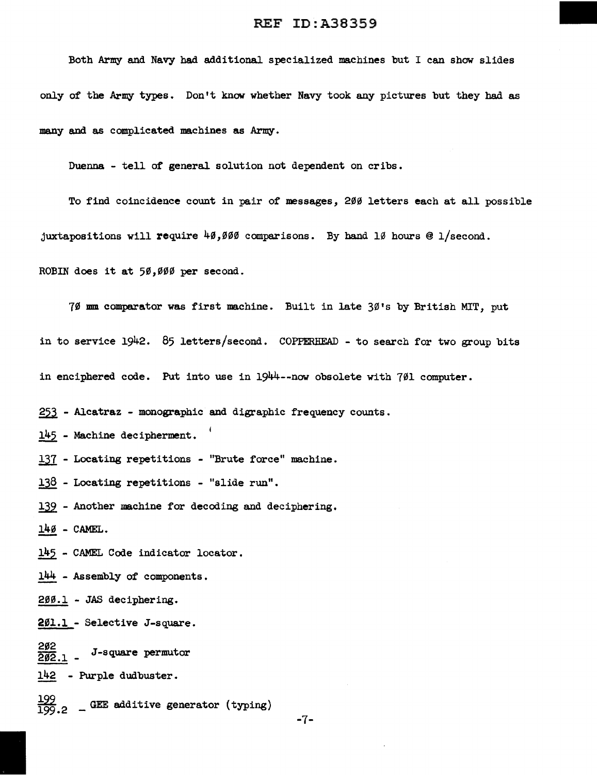Both Army and Navy had additional specialized machines but I can show slides only of the Army types • Don't know whether Navy took any pictures but they had as many and as complicated machines as Army.

Duenna - tell of general solution not dependent on cribs.

To find coincidence count in pair of messages, 200 letters each at all possible juxtapositions will require  $40,000$  comparisons. By hand 10 hours @ 1/second. ROBIN does it at 50,000 per second.

70 mm comparator was first machine. Built in late 30's by British MIT, put in to service 1942. 85 letters/second. COPPERHEAD - to search for two group bits in enciphered code. Put into use in 1944--now obsolete with 701 computer.

253 - Alcatraz - monographic and digraphic frequency counts.

145 - Machine decipherment.

137 - Locating repetitions - "Brute force" machine.

138 - Locating repetitions - "slide run".

139 - Another machine for decoding and deciphering.

 $14\%$  - CAMEL.

145 - CAMEL Code indicator locator.

144 - Assembly of components.

200.l - JAS deciphering.

201.l - Selective J-square.

 $\frac{202}{202.1}$  - J-square permutor

142 - Purple dudbuster.

 $\frac{199}{199.2}$  - GEE additive generator (typing)

 $-7-$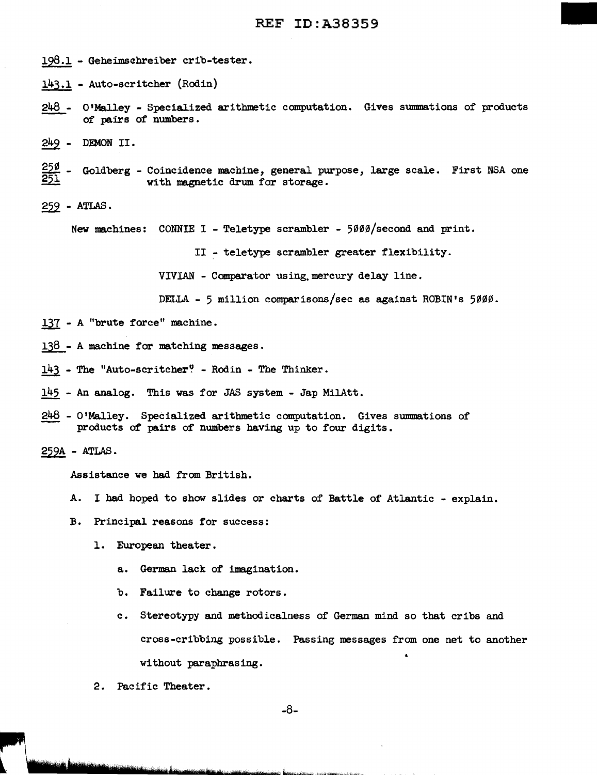- 198.1 Geheimsebreiber crib-tester.
- 143.1 Auto-scritcher (Rodin)
- 248 O'Malley Specialized arithmetic computation. Gives summations of products of pairs of numbers.
- 249 DEMON II.
- <u>25ø</u>  $\frac{250}{251}$  - Goldberg - Coincidence machine, general purpose, large scale. First NSA one with magnetic drum for storage. with magnetic drum for storage.
- $259$  ATLAS.

New machines: CONNIE I - Teletype scrambler - 5000/second and print.

II - teletype scrambler greater flexibility.

VIVIAN - Comparator using.mercury delay line.

DELLA - 5 million comparisons/sec as against ROBIN's 5000.

- 137 A "brute force" machine.
- $138 A$  machine for matching messages.
- $143$  The "Auto-scritcher" Rodin The Thinker.
- 145 An analog. This was for JAS system Jap MilAtt.
- $248$  O'Malley. Specialized arithmetic computation. Gives summations of products of pairs of numbers having up to four digits.
- $259A ATLAS$ .

Assistance we had from British.

- A. I had hoped to show slides or charts of Battle of Atlantic explain.
- B. Principal reasons for success:
	- 1. European theater.
		- a. German lack of imagination.
		- b. Failure to change rotors.
		- c. Stereotypy and methodicalness of German mind so that cribs and cross-cribbing possible. Passing messages from one net to another • without paraphrasing.
	- 2. Pacific Theater.

-8-